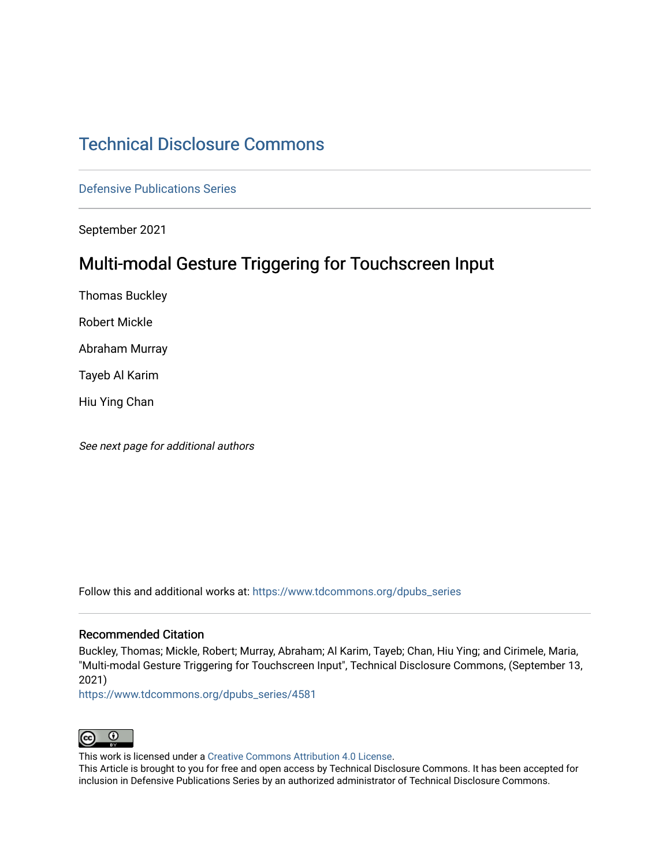# [Technical Disclosure Commons](https://www.tdcommons.org/)

[Defensive Publications Series](https://www.tdcommons.org/dpubs_series)

September 2021

# Multi-modal Gesture Triggering for Touchscreen Input

Thomas Buckley

Robert Mickle

Abraham Murray

Tayeb Al Karim

Hiu Ying Chan

See next page for additional authors

Follow this and additional works at: [https://www.tdcommons.org/dpubs\\_series](https://www.tdcommons.org/dpubs_series?utm_source=www.tdcommons.org%2Fdpubs_series%2F4581&utm_medium=PDF&utm_campaign=PDFCoverPages) 

## Recommended Citation

Buckley, Thomas; Mickle, Robert; Murray, Abraham; Al Karim, Tayeb; Chan, Hiu Ying; and Cirimele, Maria, "Multi-modal Gesture Triggering for Touchscreen Input", Technical Disclosure Commons, (September 13, 2021)

[https://www.tdcommons.org/dpubs\\_series/4581](https://www.tdcommons.org/dpubs_series/4581?utm_source=www.tdcommons.org%2Fdpubs_series%2F4581&utm_medium=PDF&utm_campaign=PDFCoverPages)



This work is licensed under a [Creative Commons Attribution 4.0 License](http://creativecommons.org/licenses/by/4.0/deed.en_US).

This Article is brought to you for free and open access by Technical Disclosure Commons. It has been accepted for inclusion in Defensive Publications Series by an authorized administrator of Technical Disclosure Commons.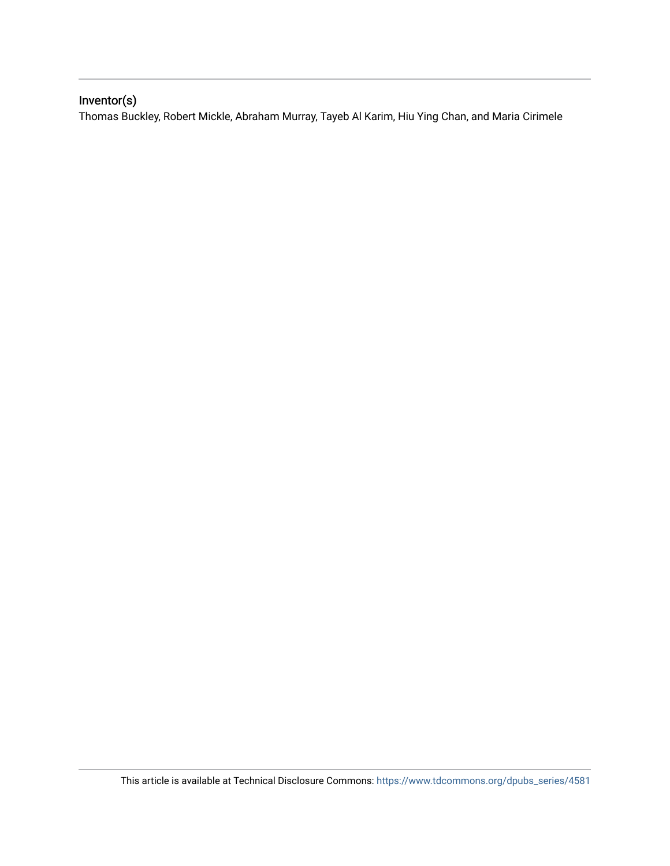# Inventor(s)

Thomas Buckley, Robert Mickle, Abraham Murray, Tayeb Al Karim, Hiu Ying Chan, and Maria Cirimele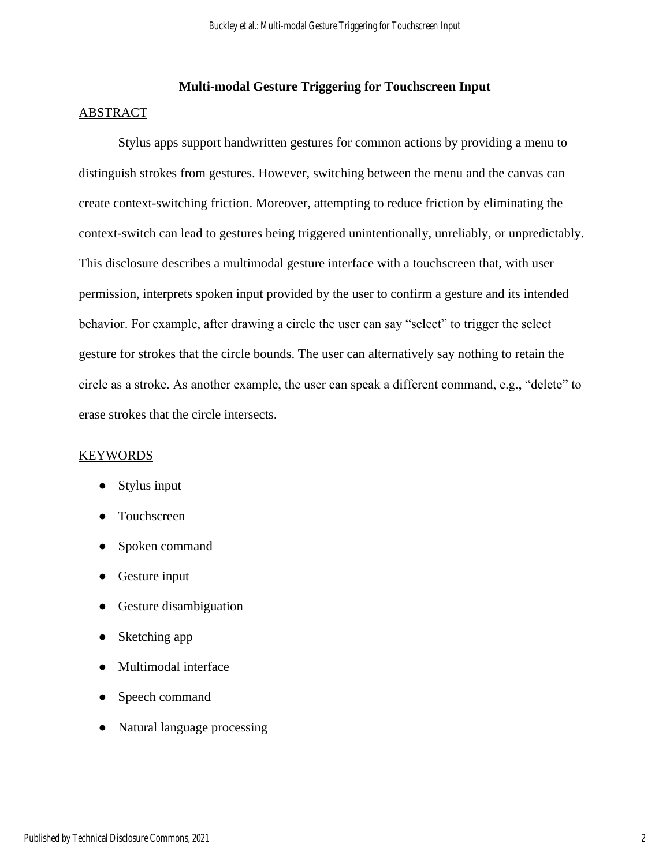## **Multi-modal Gesture Triggering for Touchscreen Input**

#### ABSTRACT

Stylus apps support handwritten gestures for common actions by providing a menu to distinguish strokes from gestures. However, switching between the menu and the canvas can create context-switching friction. Moreover, attempting to reduce friction by eliminating the context-switch can lead to gestures being triggered unintentionally, unreliably, or unpredictably. This disclosure describes a multimodal gesture interface with a touchscreen that, with user permission, interprets spoken input provided by the user to confirm a gesture and its intended behavior. For example, after drawing a circle the user can say "select" to trigger the select gesture for strokes that the circle bounds. The user can alternatively say nothing to retain the circle as a stroke. As another example, the user can speak a different command, e.g., "delete" to erase strokes that the circle intersects.

#### KEYWORDS

- Stylus input
- Touchscreen
- Spoken command
- Gesture input
- Gesture disambiguation
- Sketching app
- Multimodal interface
- Speech command
- Natural language processing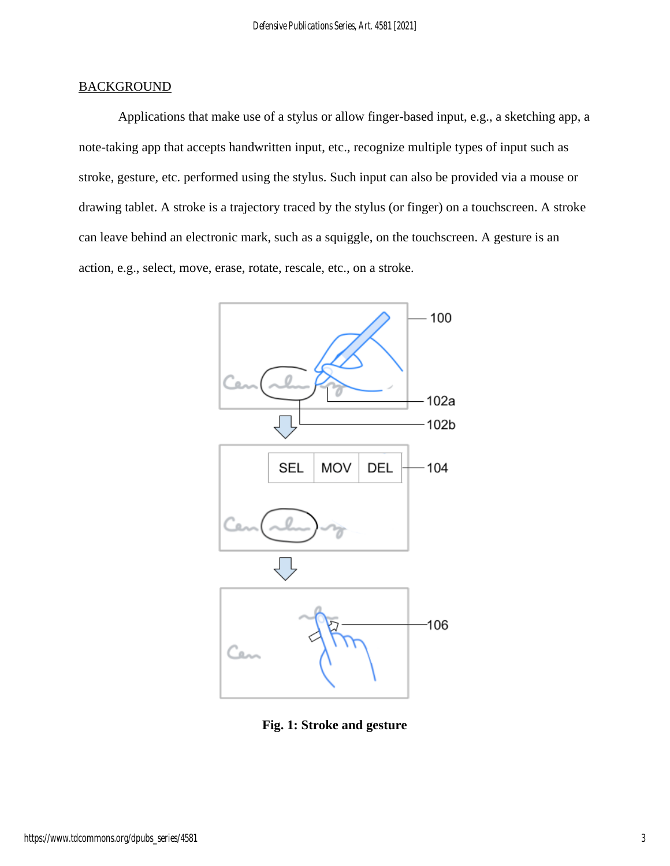#### **BACKGROUND**

Applications that make use of a stylus or allow finger-based input, e.g., a sketching app, a note-taking app that accepts handwritten input, etc., recognize multiple types of input such as stroke, gesture, etc. performed using the stylus. Such input can also be provided via a mouse or drawing tablet. A stroke is a trajectory traced by the stylus (or finger) on a touchscreen. A stroke can leave behind an electronic mark, such as a squiggle, on the touchscreen. A gesture is an action, e.g., select, move, erase, rotate, rescale, etc., on a stroke.



**Fig. 1: Stroke and gesture**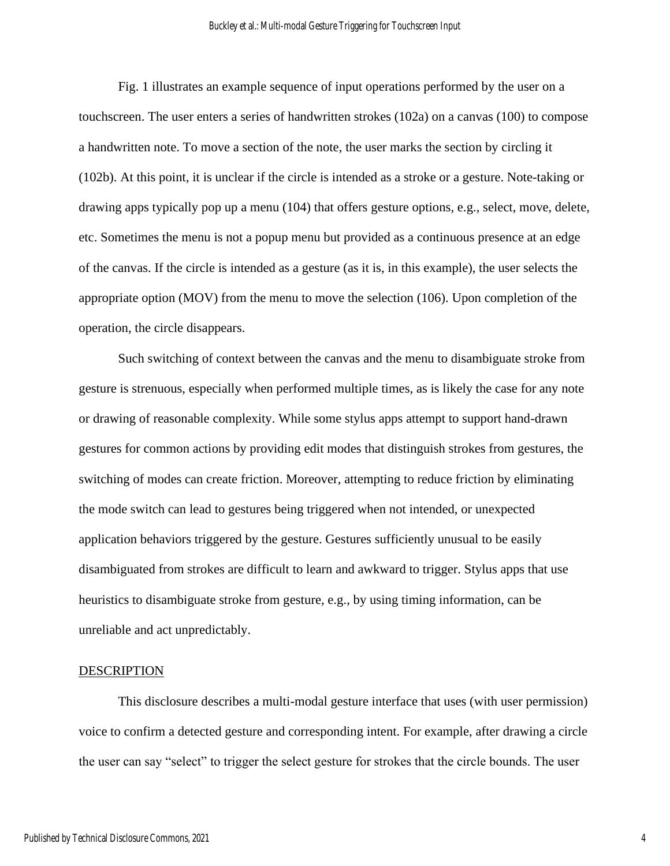Fig. 1 illustrates an example sequence of input operations performed by the user on a touchscreen. The user enters a series of handwritten strokes (102a) on a canvas (100) to compose a handwritten note. To move a section of the note, the user marks the section by circling it (102b). At this point, it is unclear if the circle is intended as a stroke or a gesture. Note-taking or drawing apps typically pop up a menu (104) that offers gesture options, e.g., select, move, delete, etc. Sometimes the menu is not a popup menu but provided as a continuous presence at an edge of the canvas. If the circle is intended as a gesture (as it is, in this example), the user selects the appropriate option (MOV) from the menu to move the selection (106). Upon completion of the operation, the circle disappears.

Such switching of context between the canvas and the menu to disambiguate stroke from gesture is strenuous, especially when performed multiple times, as is likely the case for any note or drawing of reasonable complexity. While some stylus apps attempt to support hand-drawn gestures for common actions by providing edit modes that distinguish strokes from gestures, the switching of modes can create friction. Moreover, attempting to reduce friction by eliminating the mode switch can lead to gestures being triggered when not intended, or unexpected application behaviors triggered by the gesture. Gestures sufficiently unusual to be easily disambiguated from strokes are difficult to learn and awkward to trigger. Stylus apps that use heuristics to disambiguate stroke from gesture, e.g., by using timing information, can be unreliable and act unpredictably.

#### **DESCRIPTION**

This disclosure describes a multi-modal gesture interface that uses (with user permission) voice to confirm a detected gesture and corresponding intent. For example, after drawing a circle the user can say "select" to trigger the select gesture for strokes that the circle bounds. The user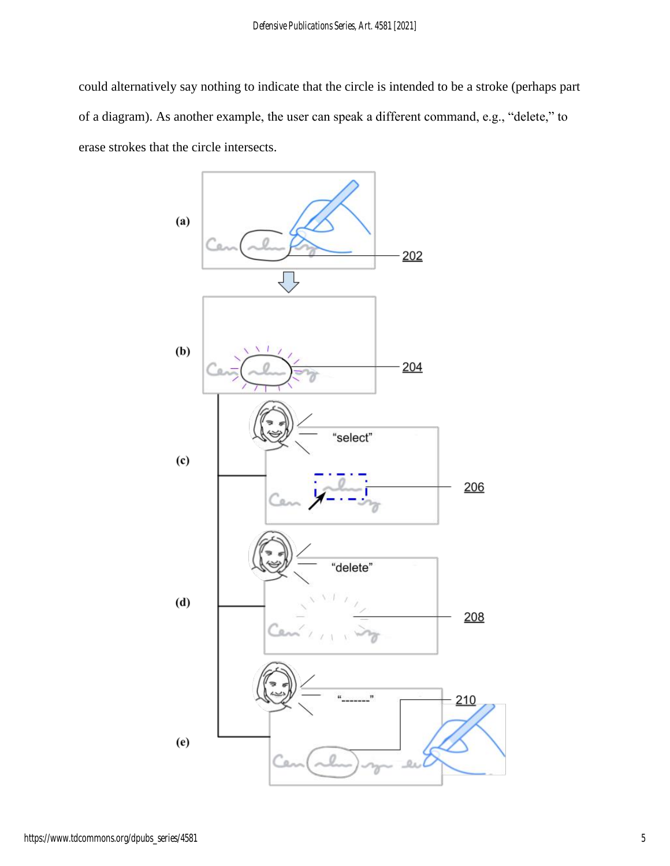could alternatively say nothing to indicate that the circle is intended to be a stroke (perhaps part of a diagram). As another example, the user can speak a different command, e.g., "delete," to erase strokes that the circle intersects.

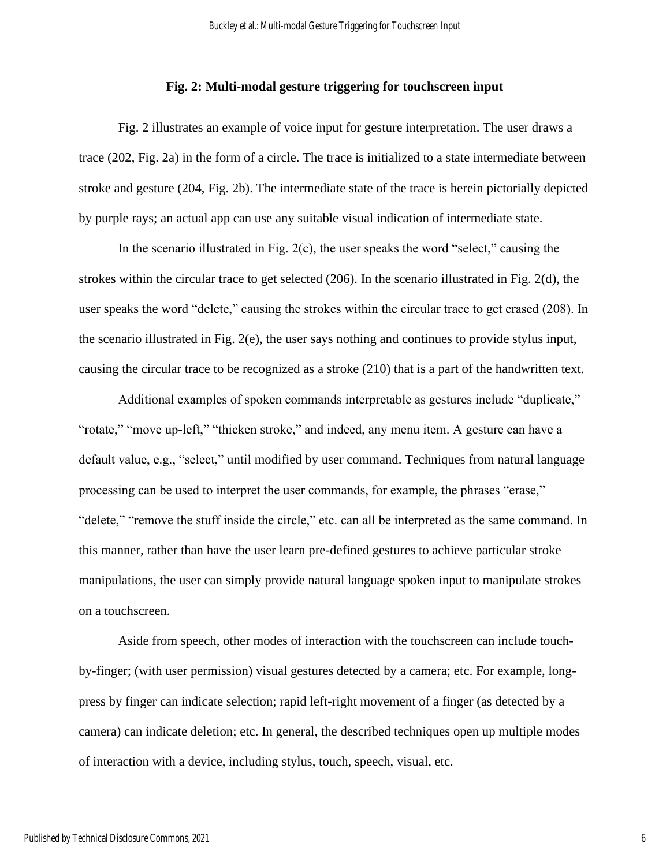### **Fig. 2: Multi-modal gesture triggering for touchscreen input**

Fig. 2 illustrates an example of voice input for gesture interpretation. The user draws a trace (202, Fig. 2a) in the form of a circle. The trace is initialized to a state intermediate between stroke and gesture (204, Fig. 2b). The intermediate state of the trace is herein pictorially depicted by purple rays; an actual app can use any suitable visual indication of intermediate state.

In the scenario illustrated in Fig. 2(c), the user speaks the word "select," causing the strokes within the circular trace to get selected (206). In the scenario illustrated in Fig. 2(d), the user speaks the word "delete," causing the strokes within the circular trace to get erased (208). In the scenario illustrated in Fig. 2(e), the user says nothing and continues to provide stylus input, causing the circular trace to be recognized as a stroke (210) that is a part of the handwritten text.

Additional examples of spoken commands interpretable as gestures include "duplicate," "rotate," "move up-left," "thicken stroke," and indeed, any menu item. A gesture can have a default value, e.g., "select," until modified by user command. Techniques from natural language processing can be used to interpret the user commands, for example, the phrases "erase," "delete," "remove the stuff inside the circle," etc. can all be interpreted as the same command. In this manner, rather than have the user learn pre-defined gestures to achieve particular stroke manipulations, the user can simply provide natural language spoken input to manipulate strokes on a touchscreen.

Aside from speech, other modes of interaction with the touchscreen can include touchby-finger; (with user permission) visual gestures detected by a camera; etc. For example, longpress by finger can indicate selection; rapid left-right movement of a finger (as detected by a camera) can indicate deletion; etc. In general, the described techniques open up multiple modes of interaction with a device, including stylus, touch, speech, visual, etc.